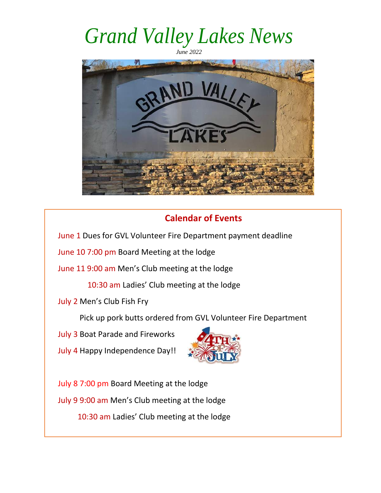*June 2022* 



### **Calendar of Events**

June 1 Dues for GVL Volunteer Fire Department payment deadline

June 10 7:00 pm Board Meeting at the lodge

June 11 9:00 am Men's Club meeting at the lodge

10:30 am Ladies' Club meeting at the lodge

July 2 Men's Club Fish Fry

Pick up pork butts ordered from GVL Volunteer Fire Department

July 3 Boat Parade and Fireworks

July 4 Happy Independence Day!!



July 8 7:00 pm Board Meeting at the lodge July 9 9:00 am Men's Club meeting at the lodge 10:30 am Ladies' Club meeting at the lodge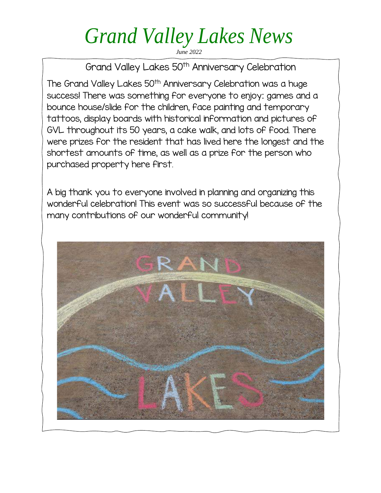*June 2022* 

Grand Valley Lakes 50<sup>th</sup> Anniversary Celebration

The Grand Valley Lakes 50<sup>th</sup> Anniversary Celebration was a huge success! There was something for everyone to enjoy: games and a bounce house/slide for the children, face painting and temporary tattoos, display boards with historical information and pictures of GVL throughout its 50 years, a cake walk, and lots of food. There were prizes for the resident that has lived here the longest and the shortest amounts of time, as well as a prize for the person who purchased property here first.

A big thank you to everyone involved in planning and organizing this wonderful celebration! This event was so successful because of the many contributions of our wonderful community!

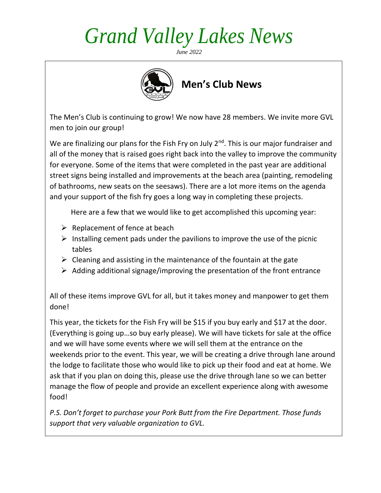*June 2022* 



 **Men's Club News**

The Men's Club is continuing to grow! We now have 28 members. We invite more GVL men to join our group!

We are finalizing our plans for the Fish Fry on July  $2<sup>nd</sup>$ . This is our major fundraiser and all of the money that is raised goes right back into the valley to improve the community for everyone. Some of the items that were completed in the past year are additional street signs being installed and improvements at the beach area (painting, remodeling of bathrooms, new seats on the seesaws). There are a lot more items on the agenda and your support of the fish fry goes a long way in completing these projects.

Here are a few that we would like to get accomplished this upcoming year:

- $\triangleright$  Replacement of fence at beach
- $\triangleright$  Installing cement pads under the pavilions to improve the use of the picnic tables
- $\triangleright$  Cleaning and assisting in the maintenance of the fountain at the gate
- $\triangleright$  Adding additional signage/improving the presentation of the front entrance

All of these items improve GVL for all, but it takes money and manpower to get them done!

This year, the tickets for the Fish Fry will be \$15 if you buy early and \$17 at the door. (Everything is going up…so buy early please). We will have tickets for sale at the office and we will have some events where we will sell them at the entrance on the weekends prior to the event. This year, we will be creating a drive through lane around the lodge to facilitate those who would like to pick up their food and eat at home. We ask that if you plan on doing this, please use the drive through lane so we can better manage the flow of people and provide an excellent experience along with awesome food!

*P.S. Don't forget to purchase your Pork Butt from the Fire Department. Those funds support that very valuable organization to GVL.*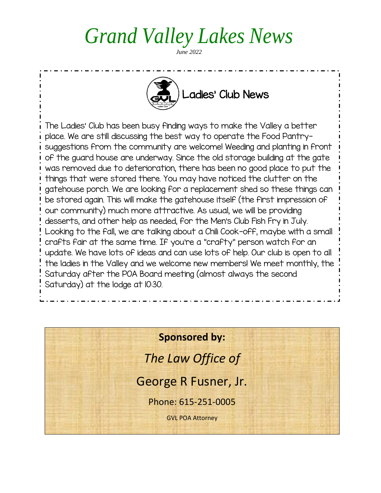*June 2022* 



The Ladies' Club has been busy finding ways to make the Valley a better place. We are still discussing the best way to operate the Food Pantrysuggestions from the community are welcome! Weeding and planting in front of the guard house are underway. Since the old storage building at the gate was removed due to deterioration, there has been no good place to put the things that were stored there. You may have noticed the clutter on the gatehouse porch. We are looking for a replacement shed so these things can be stored again. This will make the gatehouse itself (the first impression of our community) much more attractive. As usual, we will be providing desserts, and other help as needed, for the Men's Club Fish Fry in July. Looking to the fall, we are talking about a Chili Cook-off, maybe with a small crafts fair at the same time. If you're a "crafty" person watch for an update. We have lots of ideas and can use lots of help. Our club is open to all the ladies in the Valley and we welcome new members! We meet monthly, the Saturday after the POA Board meeting (almost always the second Saturday) at the lodge at 10:30.

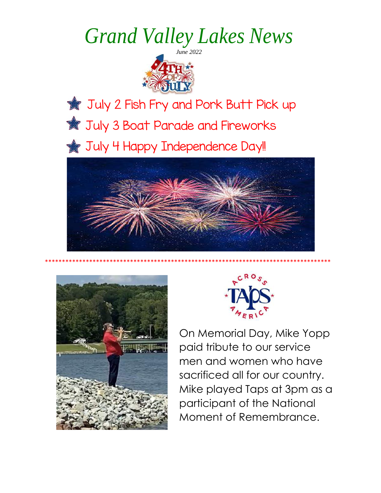

**Tuly 2 Fish Fry and Pork Butt Pick up W** July 3 Boat Parade and Fireworks July 4 Happy Independence Day!!



\*\*\*\*\*\*\*\*\*\*\*\*\*\*\*\*\*\*\*\*\*\*\*\*\*\*\*\*\*\*\*\*\*\*\*\*\*\*\*\*\*\*\*\*\*\*\*\*\*\*\*\*\*\*\*\*\*\*\*\*\*\*\*\*\*\*\*\*\*\*\*\*\*\*\*\*\*\*\*\*\*\*\*\*





On Memorial Day, Mike Yopp paid tribute to our service men and women who have sacrificed all for our country. Mike played Taps at 3pm as a participant of the National Moment of Remembrance.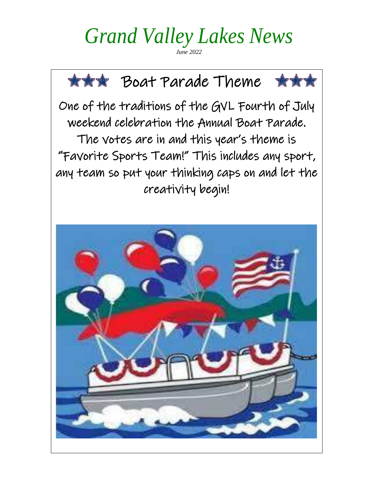*June 2022* 



"Favorite Sports Team!" This includes any sport, any team so put your thinking caps on and let the creativity begin!

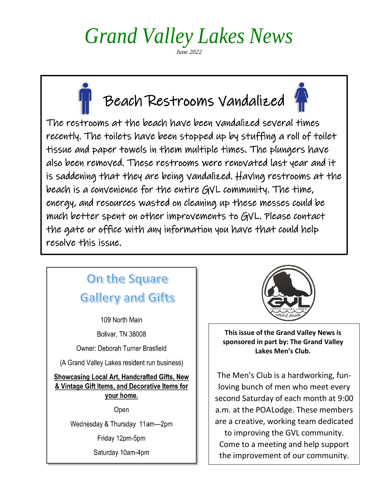*June 2022* 



The restrooms at the beach have been vandalized several times recently. The toilets have been stopped up by stuffing a roll of toilet tissue and paper towels in them multiple times. The plungers have also been removed. These restrooms were renovated last year and it is saddening that they are being vandalized. Having restrooms at the beach is a convenience for the entire GVL community. The time, energy, and resources wasted on cleaning up these messes could be much better spent on other improvements to GVL. Please contact the gate or office with any information you have that could help resolve this issue.

### On the Square **Gallery and Gifts**

109 North Main

**Bolivar, TN 38008** 

Owner: Deborah Turner Brasfield

(A Grand Valley Lakes resident run business)

**Showcasing Local Art, Handcrafted Gifts, New** & Vintage Gift Items, and Decorative Items for your home.

Open

Wednesday & Thursday 11am-2pm

Friday 12pm-5pm

Saturday 10am-4pm



**This issue of the Grand Valley News is sponsored in part by: The Grand Valley Lakes Men's Club.**

The Men's Club is a hardworking, funloving bunch of men who meet every second Saturday of each month at 9:00 a.m. at the POALodge. These members are a creative, working team dedicated

to improving the GVL community. Come to a meeting and help support the improvement of our community.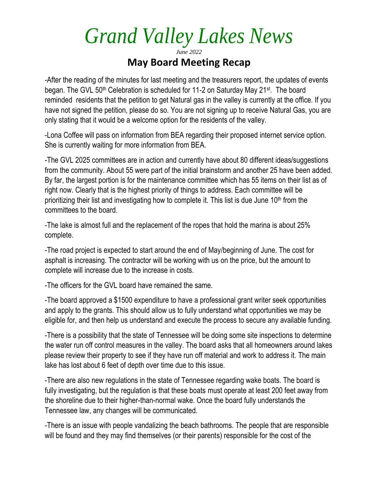### *June 2022*  **May Board Meeting Recap**

-After the reading of the minutes for last meeting and the treasurers report, the updates of events began. The GVL 50<sup>th</sup> Celebration is scheduled for 11-2 on Saturday May 21<sup>st</sup>. The board reminded residents that the petition to get Natural gas in the valley is currently at the office. If you have not signed the petition, please do so. You are not signing up to receive Natural Gas, you are only stating that it would be a welcome option for the residents of the valley.

-Lona Coffee will pass on information from BEA regarding their proposed internet service option. She is currently waiting for more information from BEA.

-The GVL 2025 committees are in action and currently have about 80 different ideas/suggestions from the community. About 55 were part of the initial brainstorm and another 25 have been added. By far, the largest portion is for the maintenance committee which has 55 items on their list as of right now. Clearly that is the highest priority of things to address. Each committee will be prioritizing their list and investigating how to complete it. This list is due June  $10<sup>th</sup>$  from the committees to the board.

-The lake is almost full and the replacement of the ropes that hold the marina is about 25% complete.

-The road project is expected to start around the end of May/beginning of June. The cost for asphalt is increasing. The contractor will be working with us on the price, but the amount to complete will increase due to the increase in costs.

-The officers for the GVL board have remained the same.

-The board approved a \$1500 expenditure to have a professional grant writer seek opportunities and apply to the grants. This should allow us to fully understand what opportunities we may be eligible for, and then help us understand and execute the process to secure any available funding.

-There is a possibility that the state of Tennessee will be doing some site inspections to determine the water run off control measures in the valley. The board asks that all homeowners around lakes please review their property to see if they have run off material and work to address it. The main lake has lost about 6 feet of depth over time due to this issue.

-There are also new regulations in the state of Tennessee regarding wake boats. The board is fully investigating, but the regulation is that these boats must operate at least 200 feet away from the shoreline due to their higher-than-normal wake. Once the board fully understands the Tennessee law, any changes will be communicated.

-There is an issue with people vandalizing the beach bathrooms. The people that are responsible will be found and they may find themselves (or their parents) responsible for the cost of the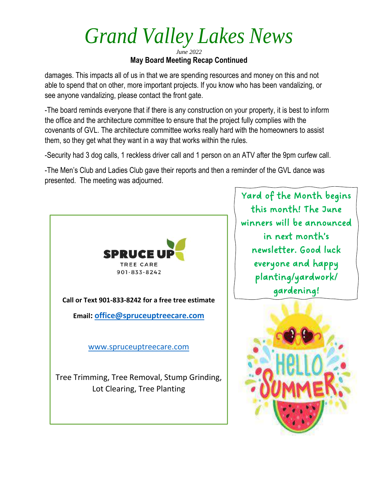*June 2022*  **May Board Meeting Recap Continued**

damages. This impacts all of us in that we are spending resources and money on this and not able to spend that on other, more important projects. If you know who has been vandalizing, or see anyone vandalizing, please contact the front gate.

-The board reminds everyone that if there is any construction on your property, it is best to inform the office and the architecture committee to ensure that the project fully complies with the covenants of GVL. The architecture committee works really hard with the homeowners to assist them, so they get what they want in a way that works within the rules.

-Security had 3 dog calls, 1 reckless driver call and 1 person on an ATV after the 9pm curfew call.

-The Men's Club and Ladies Club gave their reports and then a reminder of the GVL dance was presented. The meeting was adjourned.



Yard of the Month begins this month! The June winners will be announced in next month's newsletter. Good luck everyone and happy planting/yardwork/ gardening!

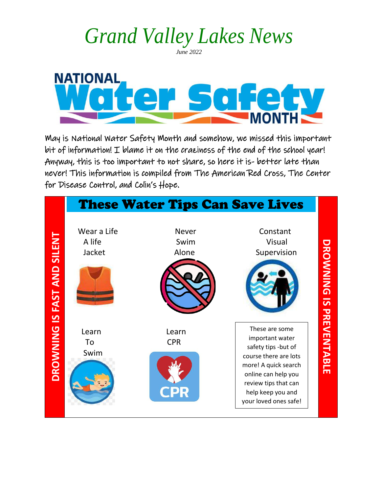*June 2022* 



May is National Water Safety Month and somehow, we missed this important bit of information! I blame it on the craziness of the end of the school year! Anyway, this is too important to not share, so here it is- better late than never! This information is compiled from The American Red Cross, The Center for Disease Control, and Colin's Hope.

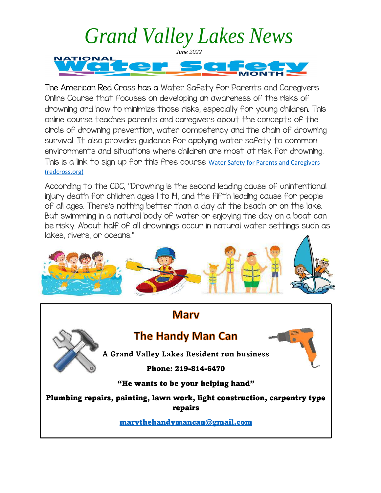

The American Red Cross has a Water Safety for Parents and Caregivers Online Course that focuses on developing an awareness of the risks of drowning and how to minimize those risks, especially for young children. This online course teaches parents and caregivers about the concepts of the circle of drowning prevention, water competency and the chain of drowning survival. It also provides guidance for applying water safety to common environments and situations where children are most at risk for drowning. This is a link to sign up for this free course [Water Safety for Parents and Caregivers](https://www.redcross.org/take-a-class/classes/water-safety-for-parents-and-caregivers/a6R3o0000012oT8.html)  [\(redcross.org\)](https://www.redcross.org/take-a-class/classes/water-safety-for-parents-and-caregivers/a6R3o0000012oT8.html)

According to the CDC, "Drowning is the second leading cause of unintentional injury death for children ages 1 to 14, and the fifth leading cause for people of all ages. There's nothing better than a day at the beach or on the lake. But swimming in a natural body of water or enjoying the day on a boat can be risky. About half of all drownings occur in natural water settings such as lakes, rivers, or oceans."